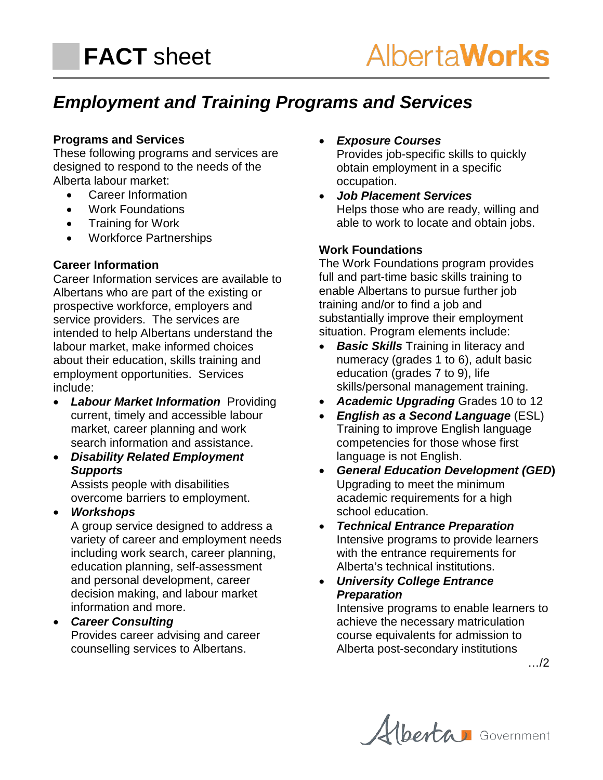# *Employment and Training Programs and Services*

### **Programs and Services**

These following programs and services are designed to respond to the needs of the Alberta labour market:

- Career Information
- Work Foundations
- Training for Work
- Workforce Partnerships

#### **Career Information**

Career Information services are available to Albertans who are part of the existing or prospective workforce, employers and service providers. The services are intended to help Albertans understand the labour market, make informed choices about their education, skills training and employment opportunities. Services include:

- *[Labour Market Information](http://employment.alberta.ca/hre/ets/reg/Display.asp?EntityCode=HLEVEL_3&EntityKey=64175)* Providing current, timely and accessible labour market, career planning and work search information and assistance.
- *Disability Related Employment Supports*

Assists people with disabilities overcome barriers to employment.

• *[Workshops](http://employment.alberta.ca/hre/ets/reg/Display.asp?EntityCode=HLEVEL_3&EntityKey=64177)*

A group service designed to address a variety of career and employment needs including work search, career planning, education planning, self-assessment and personal development, career decision making, and labour market information and more.

• *[Career Consulting](http://employment.alberta.ca/hre/ets/reg/Display.asp?EntityCode=HLEVEL_3&EntityKey=64169)* Provides career advising and career counselling services to Albertans.

• *[Exposure Courses](http://employment.alberta.ca/hre/ets/reg/Display.asp?EntityCode=HLEVEL_3&EntityKey=64171)*

Provides job-specific skills to quickly obtain employment in a specific occupation.

• *[Job Placement](http://employment.alberta.ca/hre/ets/reg/Display.asp?EntityCode=HLEVEL_3&EntityKey=64173) Services* Helps those who are ready, willing and able to work to locate and obtain jobs.

### **Work Foundations**

The Work Foundations program provides full and part-time basic skills training to enable Albertans to pursue further job training and/or to find a job and substantially improve their employment situation. Program elements include:

- **Basic Skills** Training in literacy and numeracy (grades 1 to 6), adult basic education (grades 7 to 9), life skills/personal management training.
- *Academic Upgrading* Grades 10 to 12
- *English as a Second Language* (ESL) Training to improve English language competencies for those whose first language is not English.
- *General Education Development (GED***)** Upgrading to meet the minimum academic requirements for a high school education.
- *Technical Entrance Preparation* Intensive programs to provide learners with the entrance requirements for Alberta's technical institutions.
- *University College Entrance Preparation* Intensive programs to enable learners to achieve the necessary matriculation

course equivalents for admission to Alberta post-secondary institutions

…/2

Alberta Government